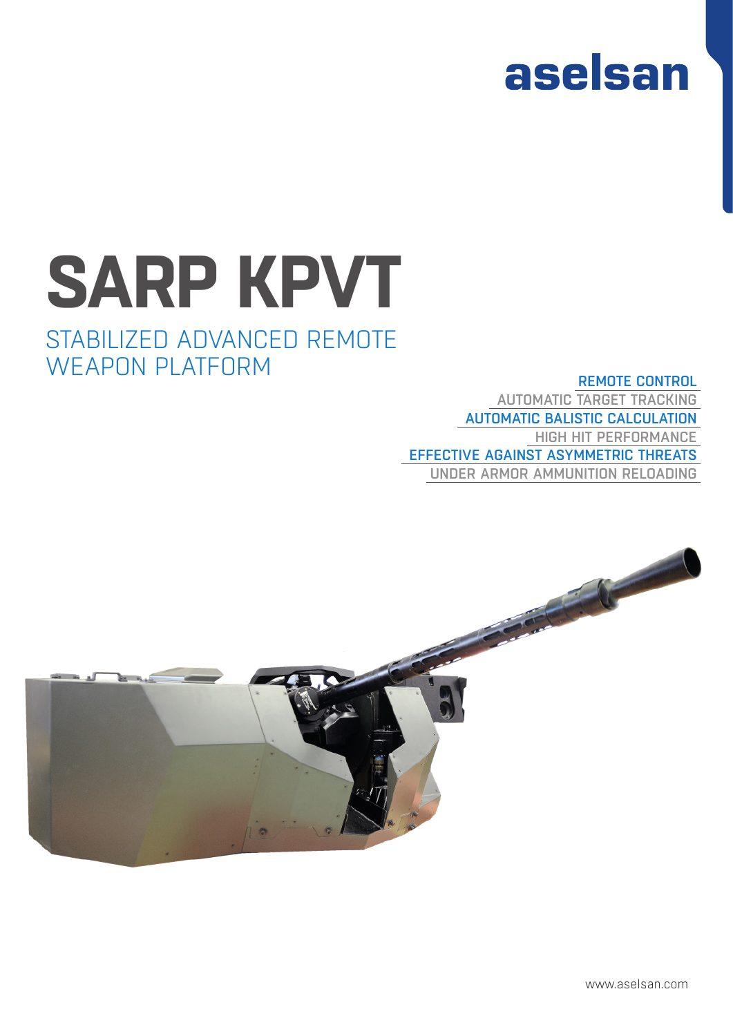

# **SARP KPVT**

## STABILIZED ADVANCED REMOTE WEAPON PLATFORM

## REMOTE CONTROL AUTOMATIC TARGET TRACKING AUTOMATIC BALISTIC CALCULATION HIGH HIT PERFORMANCE EFFECTIVE AGAINST ASYMMETRIC THREATS UNDER ARMOR AMMUNITION RELOADING